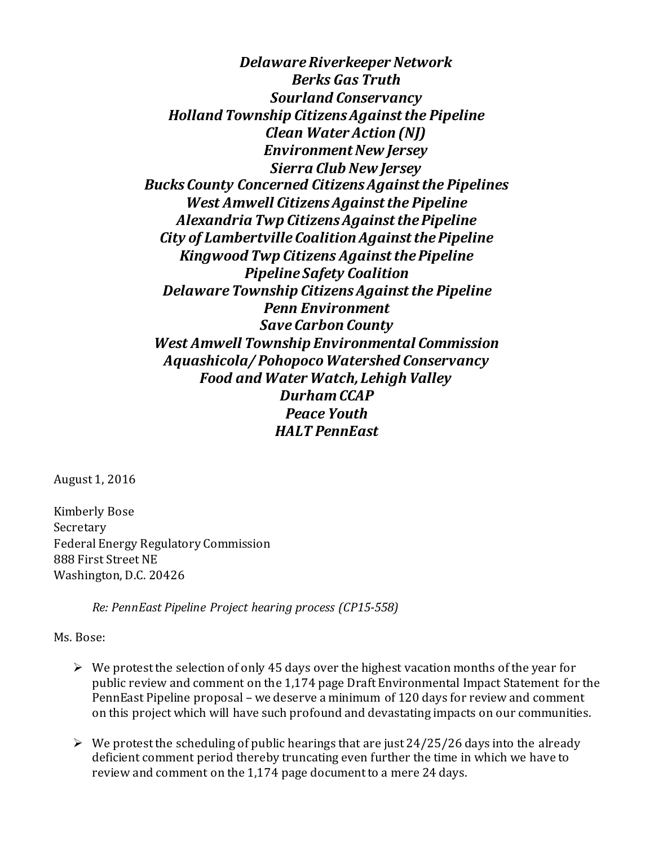*Delaware Riverkeeper Network Berks Gas Truth Sourland Conservancy Holland Township Citizens Against the Pipeline Clean Water Action (NJ) Environment New Jersey Sierra Club New Jersey Bucks County Concerned Citizens Against the Pipelines West Amwell Citizens Against the Pipeline Alexandria Twp Citizens Against the Pipeline City of Lambertville Coalition Against the Pipeline Kingwood Twp Citizens Against the Pipeline Pipeline Safety Coalition DelawareTownship CitizensAgainstthe Pipeline Penn Environment SaveCarbon County West Amwell Township Environmental Commission Aquashicola/ Pohopoco Watershed Conservancy Food and Water Watch, Lehigh Valley Durham CCAP Peace Youth HALT PennEast*

August 1, 2016

Kimberly Bose Secretary Federal Energy Regulatory Commission 888 First Street NE Washington, D.C. 20426

*Re: PennEast Pipeline Project hearing process (CP15-558)*

Ms. Bose:

- $\triangleright$  We protest the selection of only 45 days over the highest vacation months of the year for public review and comment on the 1,174 page Draft Environmental Impact Statement for the PennEast Pipeline proposal – we deserve a minimum of 120 days for review and comment on this project which will have such profound and devastating impacts on our communities.
- $\triangleright$  We protest the scheduling of public hearings that are just 24/25/26 days into the already deficient comment period thereby truncating even further the time in which we have to review and comment on the 1,174 page document to a mere 24 days.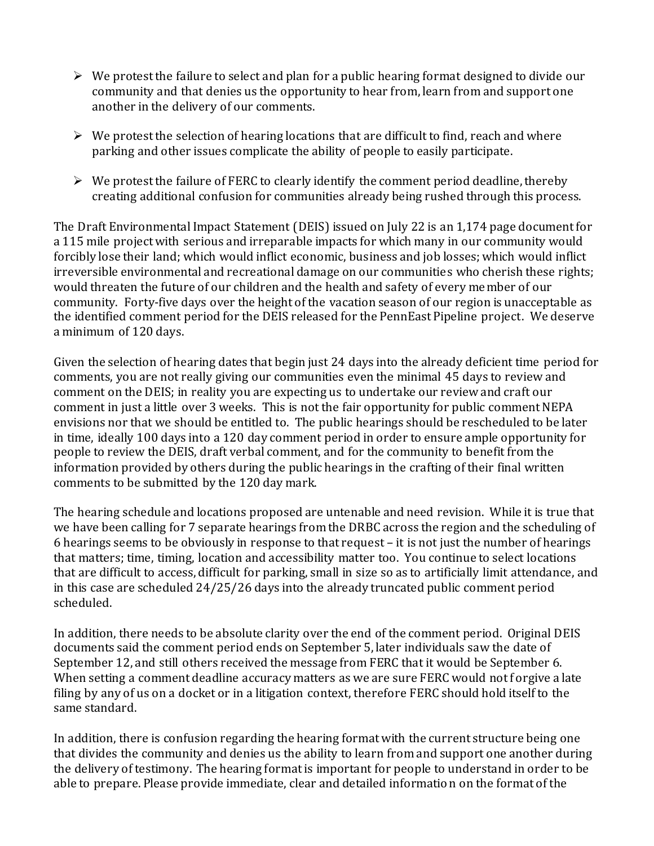- $\triangleright$  We protest the failure to select and plan for a public hearing format designed to divide our community and that denies us the opportunity to hear from, learn from and support one another in the delivery of our comments.
- $\triangleright$  We protest the selection of hearing locations that are difficult to find, reach and where parking and other issues complicate the ability of people to easily participate.
- $\triangleright$  We protest the failure of FERC to clearly identify the comment period deadline, thereby creating additional confusion for communities already being rushed through this process.

The Draft Environmental Impact Statement (DEIS) issued on July 22 is an 1,174 page document for a 115 mile project with serious and irreparable impacts for which many in our community would forcibly lose their land; which would inflict economic, business and job losses; which would inflict irreversible environmental and recreational damage on our communities who cherish these rights; would threaten the future of our children and the health and safety of every member of our community. Forty-five days over the height of the vacation season of our region is unacceptable as the identified comment period for the DEIS released for the PennEast Pipeline project. We deserve a minimum of 120 days.

Given the selection of hearing dates that begin just 24 days into the already deficient time period for comments, you are not really giving our communities even the minimal 45 days to review and comment on the DEIS; in reality you are expecting us to undertake our review and craft our comment in just a little over 3 weeks. This is not the fair opportunity for public comment NEPA envisions nor that we should be entitled to. The public hearings should be rescheduled to be later in time, ideally 100 days into a 120 day comment period in order to ensure ample opportunity for people to review the DEIS, draft verbal comment, and for the community to benefit from the information provided by others during the public hearings in the crafting of their final written comments to be submitted by the 120 day mark.

The hearing schedule and locations proposed are untenable and need revision. While it is true that we have been calling for 7 separate hearings from the DRBC across the region and the scheduling of 6 hearings seems to be obviously in response to that request – it is not just the number of hearings that matters; time, timing, location and accessibility matter too. You continue to select locations that are difficult to access, difficult for parking, small in size so as to artificially limit attendance, and in this case are scheduled 24/25/26 days into the already truncated public comment period scheduled.

In addition, there needs to be absolute clarity over the end of the comment period. Original DEIS documents said the comment period ends on September 5, later individuals saw the date of September 12, and still others received the message from FERC that it would be September 6. When setting a comment deadline accuracy matters as we are sure FERC would not forgive a late filing by any of us on a docket or in a litigation context, therefore FERC should hold itself to the same standard.

In addition, there is confusion regarding the hearing format with the current structure being one that divides the community and denies us the ability to learn from and support one another during the delivery of testimony. The hearing format is important for people to understand in order to be able to prepare. Please provide immediate, clear and detailed information on the format of the